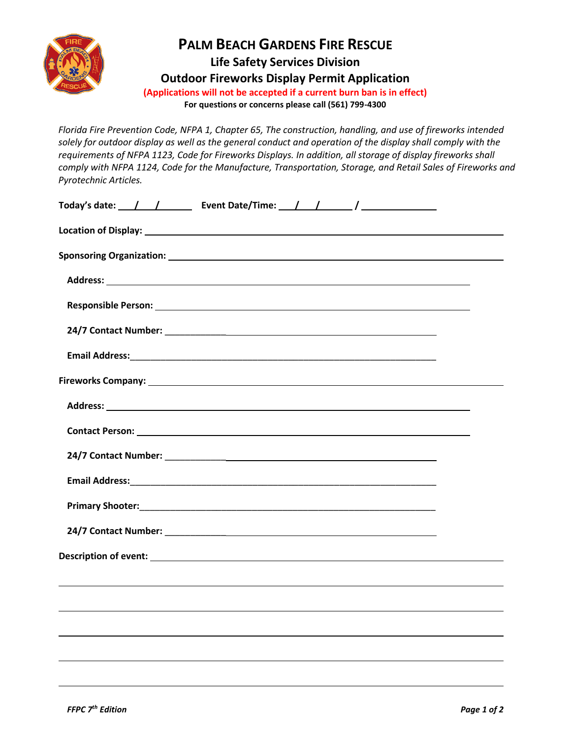

## **PALM BEACH GARDENS FIRE RESCUE**

**Life Safety Services Division Outdoor Fireworks Display Permit Application**

**(Applications will not be accepted if a current burn ban is in effect)**

**For questions or concerns please call (561) 799-4300**

*Florida Fire Prevention Code, NFPA 1, Chapter 65, The construction, handling, and use of fireworks intended solely for outdoor display as well as the general conduct and operation of the display shall comply with the requirements of NFPA 1123, Code for Fireworks Displays. In addition, all storage of display fireworks shall comply with NFPA 1124, Code for the Manufacture, Transportation, Storage, and Retail Sales of Fireworks and Pyrotechnic Articles.*

| Today's date: $\frac{1}{\sqrt{2}}$ Pvent Date/Time: $\frac{1}{\sqrt{2}}$ |  |  |
|--------------------------------------------------------------------------|--|--|
|                                                                          |  |  |
|                                                                          |  |  |
|                                                                          |  |  |
|                                                                          |  |  |
|                                                                          |  |  |
|                                                                          |  |  |
|                                                                          |  |  |
|                                                                          |  |  |
|                                                                          |  |  |
|                                                                          |  |  |
|                                                                          |  |  |
|                                                                          |  |  |
|                                                                          |  |  |
|                                                                          |  |  |
|                                                                          |  |  |
|                                                                          |  |  |
|                                                                          |  |  |
|                                                                          |  |  |